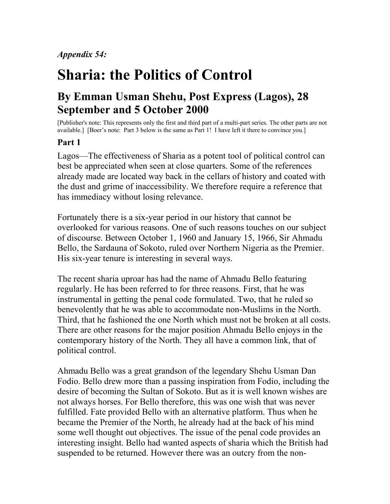*Appendix 54:*

## **Sharia: the Politics of Control**

## **By Emman Usman Shehu, Post Express (Lagos), 28 September and 5 October 2000**

[Publisher's note: This represents only the first and third part of a multi-part series. The other parts are not available.] [Boer's note: Part 3 below is the same as Part 1! I have left it there to convince you.]

## **Part 1**

Lagos—The effectiveness of Sharia as a potent tool of political control can best be appreciated when seen at close quarters. Some of the references already made are located way back in the cellars of history and coated with the dust and grime of inaccessibility. We therefore require a reference that has immediacy without losing relevance.

Fortunately there is a six-year period in our history that cannot be overlooked for various reasons. One of such reasons touches on our subject of discourse. Between October 1, 1960 and January 15, 1966, Sir Ahmadu Bello, the Sardauna of Sokoto, ruled over Northern Nigeria as the Premier. His six-year tenure is interesting in several ways.

The recent sharia uproar has had the name of Ahmadu Bello featuring regularly. He has been referred to for three reasons. First, that he was instrumental in getting the penal code formulated. Two, that he ruled so benevolently that he was able to accommodate non-Muslims in the North. Third, that he fashioned the one North which must not be broken at all costs. There are other reasons for the major position Ahmadu Bello enjoys in the contemporary history of the North. They all have a common link, that of political control.

Ahmadu Bello was a great grandson of the legendary Shehu Usman Dan Fodio. Bello drew more than a passing inspiration from Fodio, including the desire of becoming the Sultan of Sokoto. But as it is well known wishes are not always horses. For Bello therefore, this was one wish that was never fulfilled. Fate provided Bello with an alternative platform. Thus when he became the Premier of the North, he already had at the back of his mind some well thought out objectives. The issue of the penal code provides an interesting insight. Bello had wanted aspects of sharia which the British had suspended to be returned. However there was an outcry from the non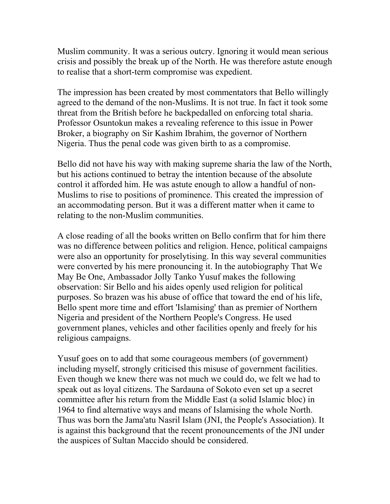Muslim community. It was a serious outcry. Ignoring it would mean serious crisis and possibly the break up of the North. He was therefore astute enough to realise that a short-term compromise was expedient.

The impression has been created by most commentators that Bello willingly agreed to the demand of the non-Muslims. It is not true. In fact it took some threat from the British before he backpedalled on enforcing total sharia. Professor Osuntokun makes a revealing reference to this issue in Power Broker, a biography on Sir Kashim Ibrahim, the governor of Northern Nigeria. Thus the penal code was given birth to as a compromise.

Bello did not have his way with making supreme sharia the law of the North, but his actions continued to betray the intention because of the absolute control it afforded him. He was astute enough to allow a handful of non-Muslims to rise to positions of prominence. This created the impression of an accommodating person. But it was a different matter when it came to relating to the non-Muslim communities.

A close reading of all the books written on Bello confirm that for him there was no difference between politics and religion. Hence, political campaigns were also an opportunity for proselytising. In this way several communities were converted by his mere pronouncing it. In the autobiography That We May Be One, Ambassador Jolly Tanko Yusuf makes the following observation: Sir Bello and his aides openly used religion for political purposes. So brazen was his abuse of office that toward the end of his life, Bello spent more time and effort 'Islamising' than as premier of Northern Nigeria and president of the Northern People's Congress. He used government planes, vehicles and other facilities openly and freely for his religious campaigns.

Yusuf goes on to add that some courageous members (of government) including myself, strongly criticised this misuse of government facilities. Even though we knew there was not much we could do, we felt we had to speak out as loyal citizens. The Sardauna of Sokoto even set up a secret committee after his return from the Middle East (a solid Islamic bloc) in 1964 to find alternative ways and means of Islamising the whole North. Thus was born the Jama'atu Nasril Islam (JNI, the People's Association). It is against this background that the recent pronouncements of the JNI under the auspices of Sultan Maccido should be considered.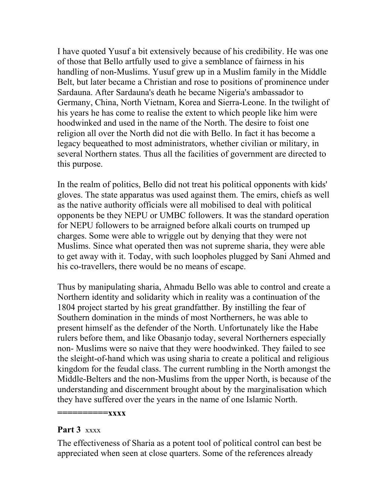I have quoted Yusuf a bit extensively because of his credibility. He was one of those that Bello artfully used to give a semblance of fairness in his handling of non-Muslims. Yusuf grew up in a Muslim family in the Middle Belt, but later became a Christian and rose to positions of prominence under Sardauna. After Sardauna's death he became Nigeria's ambassador to Germany, China, North Vietnam, Korea and Sierra-Leone. In the twilight of his years he has come to realise the extent to which people like him were hoodwinked and used in the name of the North. The desire to foist one religion all over the North did not die with Bello. In fact it has become a legacy bequeathed to most administrators, whether civilian or military, in several Northern states. Thus all the facilities of government are directed to this purpose.

In the realm of politics, Bello did not treat his political opponents with kids' gloves. The state apparatus was used against them. The emirs, chiefs as well as the native authority officials were all mobilised to deal with political opponents be they NEPU or UMBC followers. It was the standard operation for NEPU followers to be arraigned before alkali courts on trumped up charges. Some were able to wriggle out by denying that they were not Muslims. Since what operated then was not supreme sharia, they were able to get away with it. Today, with such loopholes plugged by Sani Ahmed and his co-travellers, there would be no means of escape.

Thus by manipulating sharia, Ahmadu Bello was able to control and create a Northern identity and solidarity which in reality was a continuation of the 1804 project started by his great grandfatther. By instilling the fear of Southern domination in the minds of most Northerners, he was able to present himself as the defender of the North. Unfortunately like the Habe rulers before them, and like Obasanjo today, several Northerners especially non- Muslims were so naive that they were hoodwinked. They failed to see the sleight-of-hand which was using sharia to create a political and religious kingdom for the feudal class. The current rumbling in the North amongst the Middle-Belters and the non-Muslims from the upper North, is because of the understanding and discernment brought about by the marginalisation which they have suffered over the years in the name of one Islamic North.

**==========xxxx**

## **Part 3** xxxx

The effectiveness of Sharia as a potent tool of political control can best be appreciated when seen at close quarters. Some of the references already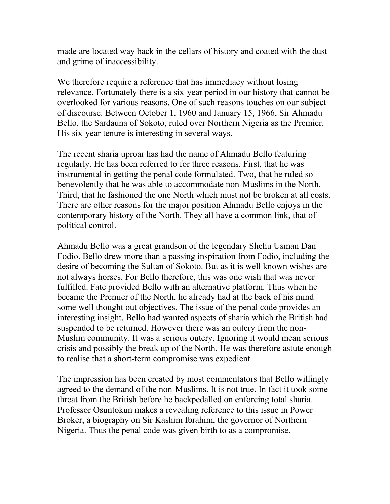made are located way back in the cellars of history and coated with the dust and grime of inaccessibility.

We therefore require a reference that has immediacy without losing relevance. Fortunately there is a six-year period in our history that cannot be overlooked for various reasons. One of such reasons touches on our subject of discourse. Between October 1, 1960 and January 15, 1966, Sir Ahmadu Bello, the Sardauna of Sokoto, ruled over Northern Nigeria as the Premier. His six-year tenure is interesting in several ways.

The recent sharia uproar has had the name of Ahmadu Bello featuring regularly. He has been referred to for three reasons. First, that he was instrumental in getting the penal code formulated. Two, that he ruled so benevolently that he was able to accommodate non-Muslims in the North. Third, that he fashioned the one North which must not be broken at all costs. There are other reasons for the major position Ahmadu Bello enjoys in the contemporary history of the North. They all have a common link, that of political control.

Ahmadu Bello was a great grandson of the legendary Shehu Usman Dan Fodio. Bello drew more than a passing inspiration from Fodio, including the desire of becoming the Sultan of Sokoto. But as it is well known wishes are not always horses. For Bello therefore, this was one wish that was never fulfilled. Fate provided Bello with an alternative platform. Thus when he became the Premier of the North, he already had at the back of his mind some well thought out objectives. The issue of the penal code provides an interesting insight. Bello had wanted aspects of sharia which the British had suspended to be returned. However there was an outcry from the non-Muslim community. It was a serious outcry. Ignoring it would mean serious crisis and possibly the break up of the North. He was therefore astute enough to realise that a short-term compromise was expedient.

The impression has been created by most commentators that Bello willingly agreed to the demand of the non-Muslims. It is not true. In fact it took some threat from the British before he backpedalled on enforcing total sharia. Professor Osuntokun makes a revealing reference to this issue in Power Broker, a biography on Sir Kashim Ibrahim, the governor of Northern Nigeria. Thus the penal code was given birth to as a compromise.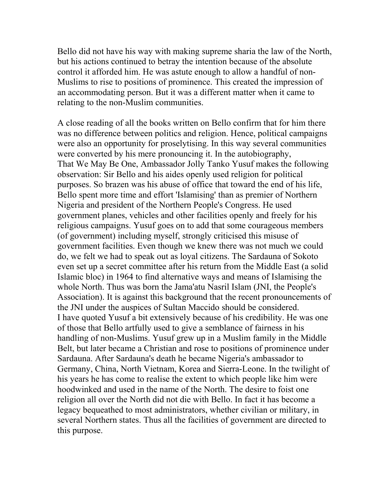Bello did not have his way with making supreme sharia the law of the North, but his actions continued to betray the intention because of the absolute control it afforded him. He was astute enough to allow a handful of non-Muslims to rise to positions of prominence. This created the impression of an accommodating person. But it was a different matter when it came to relating to the non-Muslim communities.

A close reading of all the books written on Bello confirm that for him there was no difference between politics and religion. Hence, political campaigns were also an opportunity for proselytising. In this way several communities were converted by his mere pronouncing it. In the autobiography, That We May Be One, Ambassador Jolly Tanko Yusuf makes the following observation: Sir Bello and his aides openly used religion for political purposes. So brazen was his abuse of office that toward the end of his life, Bello spent more time and effort 'Islamising' than as premier of Northern Nigeria and president of the Northern People's Congress. He used government planes, vehicles and other facilities openly and freely for his religious campaigns. Yusuf goes on to add that some courageous members (of government) including myself, strongly criticised this misuse of government facilities. Even though we knew there was not much we could do, we felt we had to speak out as loyal citizens. The Sardauna of Sokoto even set up a secret committee after his return from the Middle East (a solid Islamic bloc) in 1964 to find alternative ways and means of Islamising the whole North. Thus was born the Jama'atu Nasril Islam (JNI, the People's Association). It is against this background that the recent pronouncements of the JNI under the auspices of Sultan Maccido should be considered. I have quoted Yusuf a bit extensively because of his credibility. He was one of those that Bello artfully used to give a semblance of fairness in his handling of non-Muslims. Yusuf grew up in a Muslim family in the Middle Belt, but later became a Christian and rose to positions of prominence under Sardauna. After Sardauna's death he became Nigeria's ambassador to Germany, China, North Vietnam, Korea and Sierra-Leone. In the twilight of his years he has come to realise the extent to which people like him were hoodwinked and used in the name of the North. The desire to foist one religion all over the North did not die with Bello. In fact it has become a legacy bequeathed to most administrators, whether civilian or military, in several Northern states. Thus all the facilities of government are directed to this purpose.